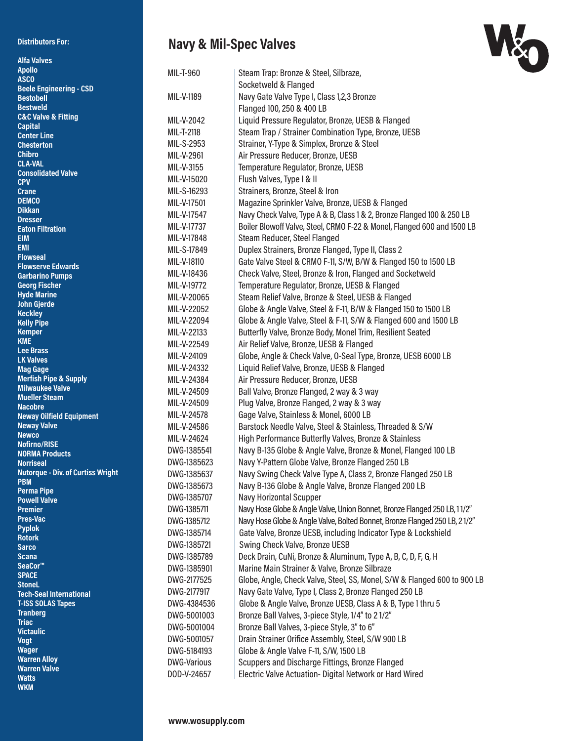## **Distributors For:**

## **Navy & Mil-Spec Valves**



| <b>Alfa Valves</b>                                |                    |                                                                            |
|---------------------------------------------------|--------------------|----------------------------------------------------------------------------|
| <b>Apollo</b>                                     | <b>MIL-T-960</b>   | Steam Trap: Bronze & Steel, Silbraze,                                      |
| <b>ASCO</b><br><b>Beele Engineering - CSD</b>     |                    | Socketweld & Flanged                                                       |
| <b>Bestobell</b>                                  | MIL-V-1189         | Navy Gate Valve Type I, Class 1,2,3 Bronze                                 |
| <b>Bestweld</b>                                   |                    | Flanged 100, 250 & 400 LB                                                  |
| <b>C&amp;C Valve &amp; Fitting</b>                | MIL-V-2042         | Liquid Pressure Regulator, Bronze, UESB & Flanged                          |
| <b>Capital</b>                                    | MIL-T-2118         | Steam Trap / Strainer Combination Type, Bronze, UESB                       |
| <b>Center Line</b><br><b>Chesterton</b>           | MIL-S-2953         | Strainer, Y-Type & Simplex, Bronze & Steel                                 |
| <b>Chibro</b>                                     | MIL-V-2961         | Air Pressure Reducer, Bronze, UESB                                         |
| <b>CLA-VAL</b>                                    |                    |                                                                            |
| <b>Consolidated Valve</b>                         | MIL-V-3155         | Temperature Regulator, Bronze, UESB                                        |
| <b>CPV</b>                                        | MIL-V-15020        | Flush Valves, Type I & II                                                  |
| <b>Crane</b><br><b>DEMCO</b>                      | MIL-S-16293        | Strainers, Bronze, Steel & Iron                                            |
| <b>Dikkan</b>                                     | MIL-V-17501        | Magazine Sprinkler Valve, Bronze, UESB & Flanged                           |
| <b>Dresser</b>                                    | MIL-V-17547        | Navy Check Valve, Type A & B, Class 1 & 2, Bronze Flanged 100 & 250 LB     |
| <b>Eaton Filtration</b>                           | MIL-V-17737        | Boiler Blowoff Valve, Steel, CRMO F-22 & Monel, Flanged 600 and 1500 LB    |
| <b>EIM</b>                                        | MIL-V-17848        | Steam Reducer, Steel Flanged                                               |
| <b>EMI</b><br><b>Flowseal</b>                     | MIL-S-17849        | Duplex Strainers, Bronze Flanged, Type II, Class 2                         |
| <b>Flowserve Edwards</b>                          | MIL-V-18110        | Gate Valve Steel & CRMO F-11, S/W, B/W & Flanged 150 to 1500 LB            |
| <b>Garbarino Pumps</b>                            | MIL-V-18436        | Check Valve, Steel, Bronze & Iron, Flanged and Socketweld                  |
| <b>Georg Fischer</b>                              | MIL-V-19772        | Temperature Regulator, Bronze, UESB & Flanged                              |
| <b>Hyde Marine</b>                                | MIL-V-20065        | Steam Relief Valve, Bronze & Steel, UESB & Flanged                         |
| John Gjerde<br><b>Keckley</b>                     | MIL-V-22052        | Globe & Angle Valve, Steel & F-11, B/W & Flanged 150 to 1500 LB            |
| <b>Kelly Pipe</b>                                 | MIL-V-22094        | Globe & Angle Valve, Steel & F-11, S/W & Flanged 600 and 1500 LB           |
| <b>Kemper</b>                                     | MIL-V-22133        | Butterfly Valve, Bronze Body, Monel Trim, Resilient Seated                 |
| <b>KME</b>                                        | MIL-V-22549        | Air Relief Valve, Bronze, UESB & Flanged                                   |
| <b>Lee Brass</b><br><b>LK Valves</b>              | MIL-V-24109        | Globe, Angle & Check Valve, O-Seal Type, Bronze, UESB 6000 LB              |
| <b>Mag Gage</b>                                   | MIL-V-24332        | Liquid Relief Valve, Bronze, UESB & Flanged                                |
| <b>Merfish Pipe &amp; Supply</b>                  | MIL-V-24384        | Air Pressure Reducer, Bronze, UESB                                         |
| <b>Milwaukee Valve</b>                            | MIL-V-24509        | Ball Valve, Bronze Flanged, 2 way & 3 way                                  |
| <b>Mueller Steam</b>                              | MIL-V-24509        | Plug Valve, Bronze Flanged, 2 way & 3 way                                  |
| <b>Nacobre</b><br><b>Neway Oilfield Equipment</b> | MIL-V-24578        | Gage Valve, Stainless & Monel, 6000 LB                                     |
| <b>Neway Valve</b>                                | MIL-V-24586        | Barstock Needle Valve, Steel & Stainless, Threaded & S/W                   |
| <b>Newco</b>                                      | MIL-V-24624        | High Performance Butterfly Valves, Bronze & Stainless                      |
| <b>Nofirno/RISE</b>                               | DWG-1385541        | Navy B-135 Globe & Angle Valve, Bronze & Monel, Flanged 100 LB             |
| <b>NORMA Products</b><br><b>Norriseal</b>         | DWG-1385623        | Navy Y-Pattern Globe Valve, Bronze Flanged 250 LB                          |
| <b>Nutorque - Div. of Curtiss Wright</b>          | DWG-1385637        | Navy Swing Check Valve Type A, Class 2, Bronze Flanged 250 LB              |
| <b>PBM</b>                                        | DWG-1385673        | Navy B-136 Globe & Angle Valve, Bronze Flanged 200 LB                      |
| <b>Perma Pipe</b>                                 | DWG-1385707        | <b>Navy Horizontal Scupper</b>                                             |
| <b>Powell Valve</b>                               | DWG-1385711        | Navy Hose Globe & Angle Valve, Union Bonnet, Bronze Flanged 250 LB, 11/2"  |
| <b>Premier</b><br><b>Pres-Vac</b>                 | DWG-1385712        | Navy Hose Globe & Angle Valve, Bolted Bonnet, Bronze Flanged 250 LB, 21/2" |
| <b>Pyplok</b>                                     | DWG-1385714        | Gate Valve, Bronze UESB, including Indicator Type & Lockshield             |
| <b>Rotork</b>                                     |                    |                                                                            |
| <b>Sarco</b>                                      | DWG-1385721        | Swing Check Valve, Bronze UESB                                             |
| Scana<br>SeaCor <sup>™</sup>                      | DWG-1385789        | Deck Drain, CuNi, Bronze & Aluminum, Type A, B, C, D, F, G, H              |
| <b>SPACE</b>                                      | DWG-1385901        | Marine Main Strainer & Valve, Bronze Silbraze                              |
| <b>StoneL</b>                                     | DWG-2177525        | Globe, Angle, Check Valve, Steel, SS, Monel, S/W & Flanged 600 to 900 LB   |
| <b>Tech-Seal International</b>                    | DWG-2177917        | Navy Gate Valve, Type I, Class 2, Bronze Flanged 250 LB                    |
| <b>T-ISS SOLAS Tapes</b>                          | DWG-4384536        | Globe & Angle Valve, Bronze UESB, Class A & B, Type 1 thru 5               |
| <b>Tranberg</b><br>Triac                          | DWG-5001003        | Bronze Ball Valves, 3-piece Style, 1/4" to 21/2"                           |
| <b>Victaulic</b>                                  | DWG-5001004        | Bronze Ball Valves, 3-piece Style, 3" to 6"                                |
| <b>Vogt</b>                                       | DWG-5001057        | Drain Strainer Orifice Assembly, Steel, S/W 900 LB                         |
| <b>Wager</b>                                      | DWG-5184193        | Globe & Angle Valve F-11, S/W, 1500 LB                                     |
| <b>Warren Alloy</b><br><b>Warren Valve</b>        | <b>DWG-Various</b> | Scuppers and Discharge Fittings, Bronze Flanged                            |
| <b>Watts</b>                                      | DOD-V-24657        | Electric Valve Actuation- Digital Network or Hard Wired                    |
| <b>MIVM</b>                                       |                    |                                                                            |